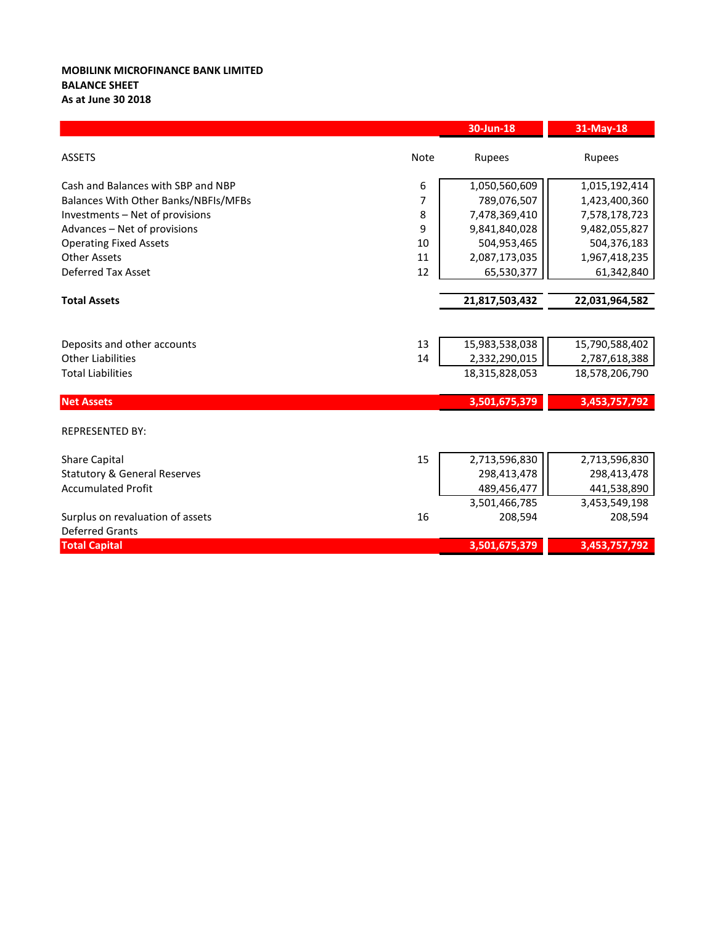## **MOBILINK MICROFINANCE BANK LIMITED BALANCE SHEET As at June 30 2018**

|                                         |             | 30-Jun-18      | 31-May-18      |
|-----------------------------------------|-------------|----------------|----------------|
| <b>ASSETS</b>                           | <b>Note</b> | Rupees         | Rupees         |
| Cash and Balances with SBP and NBP      | 6           | 1,050,560,609  | 1,015,192,414  |
| Balances With Other Banks/NBFIs/MFBs    | 7           | 789,076,507    | 1,423,400,360  |
| Investments - Net of provisions         | 8           | 7,478,369,410  | 7,578,178,723  |
| Advances - Net of provisions            | 9           | 9,841,840,028  | 9,482,055,827  |
| <b>Operating Fixed Assets</b>           | 10          | 504,953,465    | 504,376,183    |
| <b>Other Assets</b>                     | 11          | 2,087,173,035  | 1,967,418,235  |
| <b>Deferred Tax Asset</b>               | 12          | 65,530,377     | 61,342,840     |
|                                         |             |                |                |
| <b>Total Assets</b>                     |             | 21,817,503,432 | 22,031,964,582 |
|                                         |             |                |                |
| Deposits and other accounts             | 13          | 15,983,538,038 | 15,790,588,402 |
| <b>Other Liabilities</b>                | 14          | 2,332,290,015  | 2,787,618,388  |
| <b>Total Liabilities</b>                |             | 18,315,828,053 | 18,578,206,790 |
| <b>Net Assets</b>                       |             | 3,501,675,379  | 3,453,757,792  |
| <b>REPRESENTED BY:</b>                  |             |                |                |
| <b>Share Capital</b>                    | 15          | 2,713,596,830  | 2,713,596,830  |
| <b>Statutory &amp; General Reserves</b> |             | 298,413,478    | 298,413,478    |
| <b>Accumulated Profit</b>               |             | 489,456,477    | 441,538,890    |
|                                         |             | 3,501,466,785  | 3,453,549,198  |
| Surplus on revaluation of assets        | 16          | 208,594        | 208,594        |
| <b>Deferred Grants</b>                  |             |                |                |
| <b>Total Capital</b>                    |             | 3,501,675,379  | 3,453,757,792  |